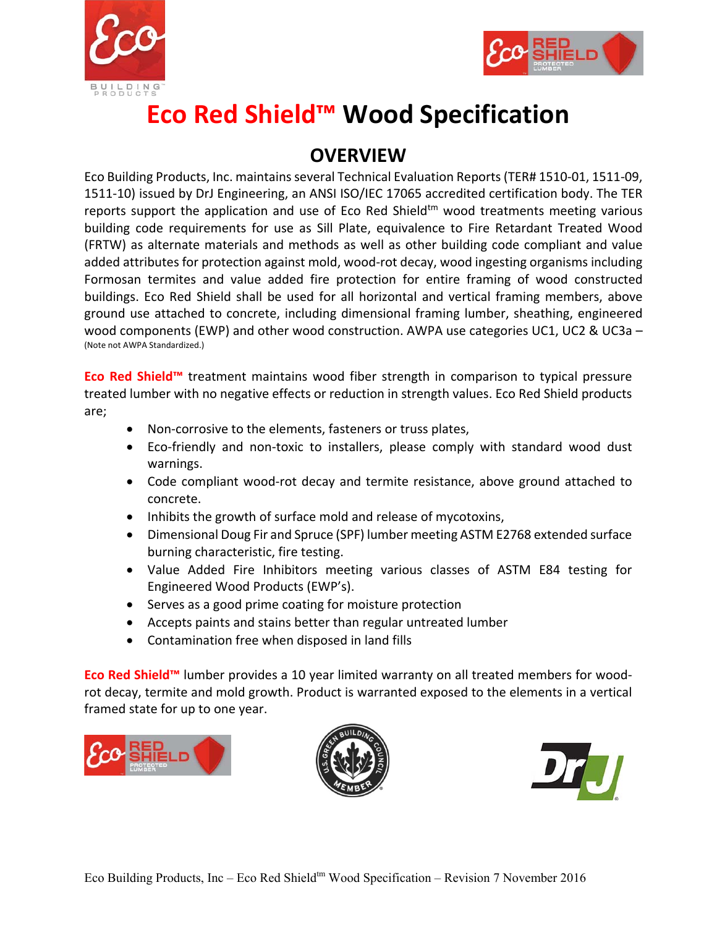



## **Eco Red Shield™ Wood Specification**

## **OVERVIEW**

Eco Building Products, Inc. maintains several Technical Evaluation Reports (TER# 1510‐01, 1511‐09, 1511‐10) issued by DrJ Engineering, an ANSI ISO/IEC 17065 accredited certification body. The TER reports support the application and use of  $Eco$  Red Shield<sup>tm</sup> wood treatments meeting various building code requirements for use as Sill Plate, equivalence to Fire Retardant Treated Wood (FRTW) as alternate materials and methods as well as other building code compliant and value added attributes for protection against mold, wood-rot decay, wood ingesting organisms including Formosan termites and value added fire protection for entire framing of wood constructed buildings. Eco Red Shield shall be used for all horizontal and vertical framing members, above ground use attached to concrete, including dimensional framing lumber, sheathing, engineered wood components (EWP) and other wood construction. AWPA use categories UC1, UC2 & UC3a – (Note not AWPA Standardized.)

**Eco Red Shield™** treatment maintains wood fiber strength in comparison to typical pressure treated lumber with no negative effects or reduction in strength values. Eco Red Shield products are;

- Non-corrosive to the elements, fasteners or truss plates,
- Eco-friendly and non-toxic to installers, please comply with standard wood dust warnings.
- Code compliant wood-rot decay and termite resistance, above ground attached to concrete.
- Inhibits the growth of surface mold and release of mycotoxins,
- Dimensional Doug Fir and Spruce (SPF) lumber meeting ASTM E2768 extended surface burning characteristic, fire testing.
- Value Added Fire Inhibitors meeting various classes of ASTM E84 testing for Engineered Wood Products (EWP's).
- Serves as a good prime coating for moisture protection
- Accepts paints and stains better than regular untreated lumber
- Contamination free when disposed in land fills

**Eco Red Shield™** lumber provides a 10 year limited warranty on all treated members for wood‐ rot decay, termite and mold growth. Product is warranted exposed to the elements in a vertical framed state for up to one year.





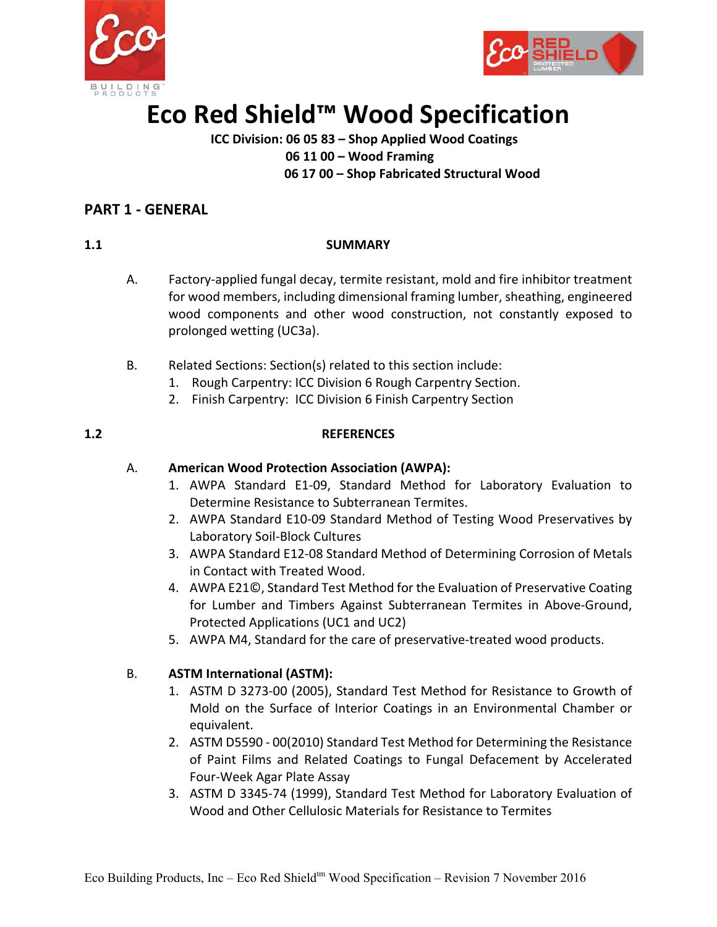



# **Eco Red Shield™ Wood Specification**

### **ICC Division: 06 05 83 – Shop Applied Wood Coatings 06 11 00 – Wood Framing 06 17 00 – Shop Fabricated Structural Wood**

### **PART 1 ‐ GENERAL**

### **1.1** SUMMARY

- A. Factory‐applied fungal decay, termite resistant, mold and fire inhibitor treatment for wood members, including dimensional framing lumber, sheathing, engineered wood components and other wood construction, not constantly exposed to prolonged wetting (UC3a).
- B. Related Sections: Section(s) related to this section include:
	- 1. Rough Carpentry: ICC Division 6 Rough Carpentry Section.
	- 2. Finish Carpentry: ICC Division 6 Finish Carpentry Section

### **1.2 REFERENCES**

### A. **American Wood Protection Association (AWPA):**

- 1. AWPA Standard E1‐09, Standard Method for Laboratory Evaluation to Determine Resistance to Subterranean Termites.
- 2. AWPA Standard E10‐09 Standard Method of Testing Wood Preservatives by Laboratory Soil‐Block Cultures
- 3. AWPA Standard E12‐08 Standard Method of Determining Corrosion of Metals in Contact with Treated Wood.
- 4. AWPA E21©, Standard Test Method for the Evaluation of Preservative Coating for Lumber and Timbers Against Subterranean Termites in Above-Ground, Protected Applications (UC1 and UC2)
- 5. AWPA M4, Standard for the care of preservative-treated wood products.

### B. **ASTM International (ASTM):**

- 1. ASTM D 3273‐00 (2005), Standard Test Method for Resistance to Growth of Mold on the Surface of Interior Coatings in an Environmental Chamber or equivalent.
- 2. ASTM D5590 ‐ 00(2010) Standard Test Method for Determining the Resistance of Paint Films and Related Coatings to Fungal Defacement by Accelerated Four‐Week Agar Plate Assay
- 3. ASTM D 3345‐74 (1999), Standard Test Method for Laboratory Evaluation of Wood and Other Cellulosic Materials for Resistance to Termites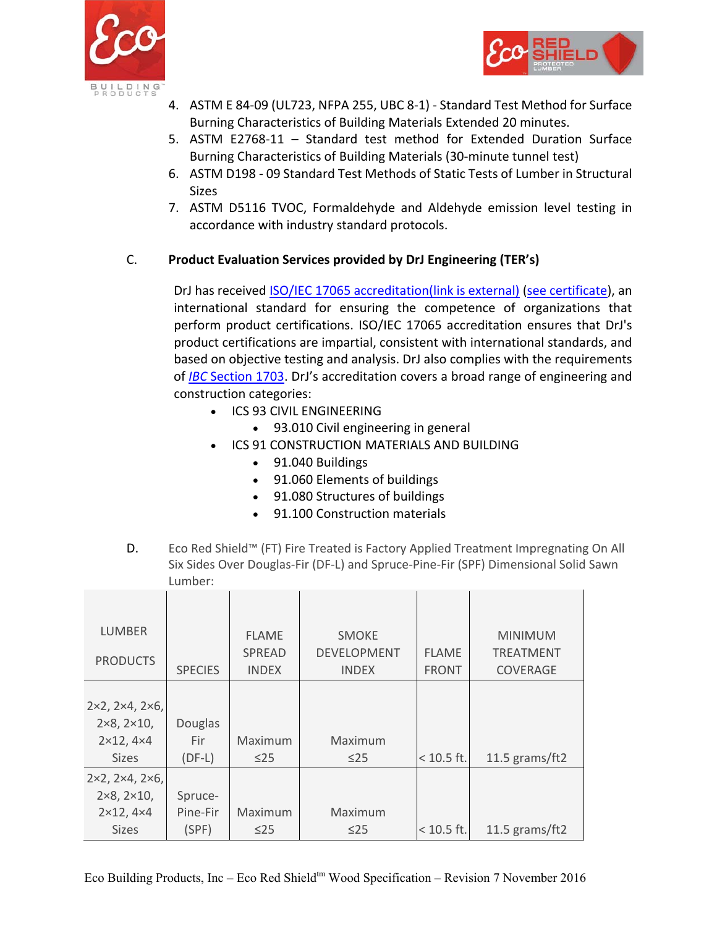



- 4. ASTM E 84‐09 (UL723, NFPA 255, UBC 8‐1) ‐ Standard Test Method for Surface Burning Characteristics of Building Materials Extended 20 minutes.
- 5. ASTM E2768‐11 Standard test method for Extended Duration Surface Burning Characteristics of Building Materials (30‐minute tunnel test)
- 6. ASTM D198 ‐ 09 Standard Test Methods of Static Tests of Lumber in Structural **Sizes**
- 7. ASTM D5116 TVOC, Formaldehyde and Aldehyde emission level testing in accordance with industry standard protocols.

### C. **Product Evaluation Services provided by DrJ Engineering (TER's)**

DrJ has received [ISO/IEC 17065 accreditation\(link is external\)](https://www.ansi.org/Accreditation/product-certification/AllDirectoryDetails.aspx?prgID=1&orgID=2125&statusID=4) [\(see certificate\)](http://www.drjengineering.org/sites/default/files/uploads/attachments/node/292/drj_17065_certificate_2015.pdf), an international standard for ensuring the competence of organizations that perform product certifications. ISO/IEC 17065 accreditation ensures that DrJ's product certifications are impartial, consistent with international standards, and based on objective testing and analysis. DrJ also complies with the requirements of *IBC* [Section 1703.](http://www.drjengineering.org/ibc-section-1703) DrJ's accreditation covers a broad range of engineering and construction categories:

- ICS 93 CIVIL ENGINEERING
	- 93.010 Civil engineering in general
- **.** ICS 91 CONSTRUCTION MATERIALS AND BUILDING
	- 91.040 Buildings
	- 91.060 Elements of buildings
	- 91.080 Structures of buildings
	- 91.100 Construction materials
- D. Eco Red Shield™ (FT) Fire Treated is Factory Applied Treatment Impregnating On All Six Sides Over Douglas‐Fir (DF‐L) and Spruce‐Pine‐Fir (SPF) Dimensional Solid Sawn Lumber:

| <b>LUMBER</b>                          |                | <b>FLAME</b>  | <b>SMOKE</b>       |              | <b>MINIMUM</b>   |
|----------------------------------------|----------------|---------------|--------------------|--------------|------------------|
|                                        |                | <b>SPREAD</b> | <b>DEVELOPMENT</b> | <b>FLAME</b> | <b>TREATMENT</b> |
| <b>PRODUCTS</b>                        | <b>SPECIES</b> | <b>INDEX</b>  | <b>INDEX</b>       | <b>FRONT</b> | <b>COVERAGE</b>  |
|                                        |                |               |                    |              |                  |
| $2\times2$ , $2\times4$ , $2\times6$ , |                |               |                    |              |                  |
| $2\times8, 2\times10,$                 | Douglas        |               |                    |              |                  |
| $2\times12, 4\times4$                  | Fir            | Maximum       | Maximum            |              |                  |
| <b>Sizes</b>                           | $(DF-L)$       | $\leq$ 25     | $\leq$ 25          | $< 10.5$ ft. | 11.5 grams/ft2   |
| $2\times2$ , $2\times4$ , $2\times6$ , |                |               |                    |              |                  |
| $2\times8, 2\times10,$                 | Spruce-        |               |                    |              |                  |
| $2 \times 12, 4 \times 4$              | Pine-Fir       | Maximum       | Maximum            |              |                  |
| <b>Sizes</b>                           | (SPF)          | $\leq$ 25     | $\leq$ 25          | $< 10.5$ ft. | 11.5 grams/ft2   |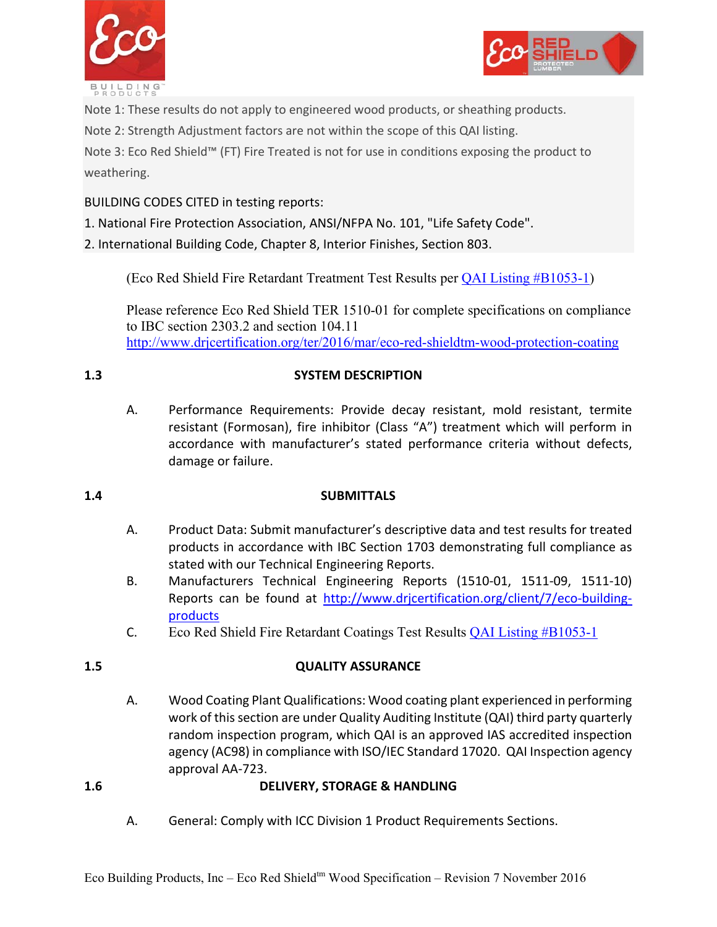



Note 1: These results do not apply to engineered wood products, or sheathing products.

Note 2: Strength Adjustment factors are not within the scope of this QAI listing.

Note 3: Eco Red Shield™ (FT) Fire Treated is not for use in conditions exposing the product to weathering.

BUILDING CODES CITED in testing reports:

1. National Fire Protection Association, ANSI/NFPA No. 101, "Life Safety Code".

2. International Building Code, Chapter 8, Interior Finishes, Section 803.

(Eco Red Shield Fire Retardant Treatment Test Results per [QAI Listing #B1053-1\)](http://qai.org/wp-content/uploads/2015/09/B1053-1-Edition-3-Eco-Building-Products-Listing-Page.pdf) 

Please reference Eco Red Shield TER 1510-01 for complete specifications on compliance to IBC section 2303.2 and section 104.11 http://www.drjcertification.org/ter/2016/mar/eco-red-shieldtm-wood-protection-coating

### **1.3 SYSTEM DESCRIPTION**

A. Performance Requirements: Provide decay resistant, mold resistant, termite resistant (Formosan), fire inhibitor (Class "A") treatment which will perform in accordance with manufacturer's stated performance criteria without defects, damage or failure.

### **1.4 SUBMITTALS**

- A. Product Data: Submit manufacturer's descriptive data and test results for treated products in accordance with IBC Section 1703 demonstrating full compliance as stated with our Technical Engineering Reports.
- B. Manufacturers Technical Engineering Reports (1510‐01, 1511‐09, 1511‐10) Reports can be found at http://www.drjcertification.org/client/7/eco-buildingproducts
- C. Eco Red Shield Fire Retardant Coatings Test Results [QAI Listing #B1053-1](http://qai.org/directory/eco-building-products/)

### **1.5 QUALITY ASSURANCE**

A. Wood Coating Plant Qualifications: Wood coating plant experienced in performing work of this section are under Quality Auditing Institute (QAI) third party quarterly random inspection program, which QAI is an approved IAS accredited inspection agency (AC98) in compliance with ISO/IEC Standard 17020. QAI Inspection agency approval AA‐723.

### **1.6 DELIVERY, STORAGE & HANDLING**

A. General: Comply with ICC Division 1 Product Requirements Sections.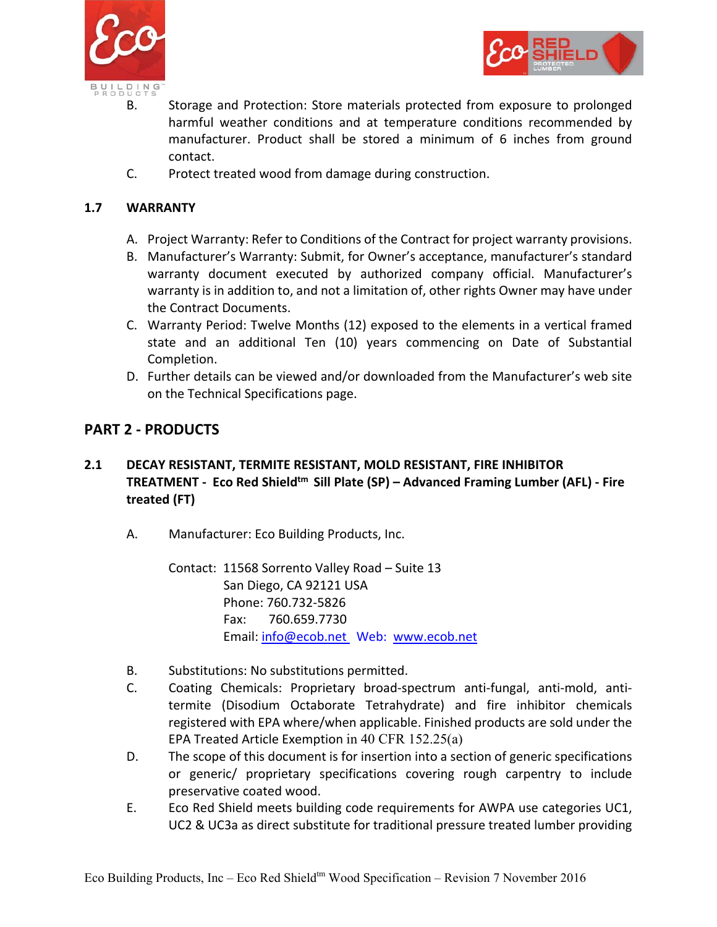



- B. Storage and Protection: Store materials protected from exposure to prolonged harmful weather conditions and at temperature conditions recommended by manufacturer. Product shall be stored a minimum of 6 inches from ground contact.
- C. Protect treated wood from damage during construction.

### **1.7 WARRANTY**

- A. Project Warranty: Refer to Conditions of the Contract for project warranty provisions.
- B. Manufacturer's Warranty: Submit, for Owner's acceptance, manufacturer's standard warranty document executed by authorized company official. Manufacturer's warranty is in addition to, and not a limitation of, other rights Owner may have under the Contract Documents.
- C. Warranty Period: Twelve Months (12) exposed to the elements in a vertical framed state and an additional Ten (10) years commencing on Date of Substantial Completion.
- D. Further details can be viewed and/or downloaded from the Manufacturer's web site on the Technical Specifications page.

### **PART 2 ‐ PRODUCTS**

### **2.1 DECAY RESISTANT, TERMITE RESISTANT, MOLD RESISTANT, FIRE INHIBITOR TREATMENT ‐ Eco Red Shieldtm Sill Plate (SP) – Advanced Framing Lumber (AFL) ‐ Fire treated (FT)**

A. Manufacturer: Eco Building Products, Inc.

Contact: 11568 Sorrento Valley Road – Suite 13 San Diego, CA 92121 USA Phone: 760.732‐5826 Fax: 760.659.7730 Email: info@ecob.net Web: www.ecob.net

- B. Substitutions: No substitutions permitted.
- C. Coating Chemicals: Proprietary broad‐spectrum anti‐fungal, anti‐mold, anti‐ termite (Disodium Octaborate Tetrahydrate) and fire inhibitor chemicals registered with EPA where/when applicable. Finished products are sold under the EPA Treated Article Exemption in 40 CFR 152.25(a)
- D. The scope of this document is for insertion into a section of generic specifications or generic/ proprietary specifications covering rough carpentry to include preservative coated wood.
- E. Eco Red Shield meets building code requirements for AWPA use categories UC1, UC2 & UC3a as direct substitute for traditional pressure treated lumber providing